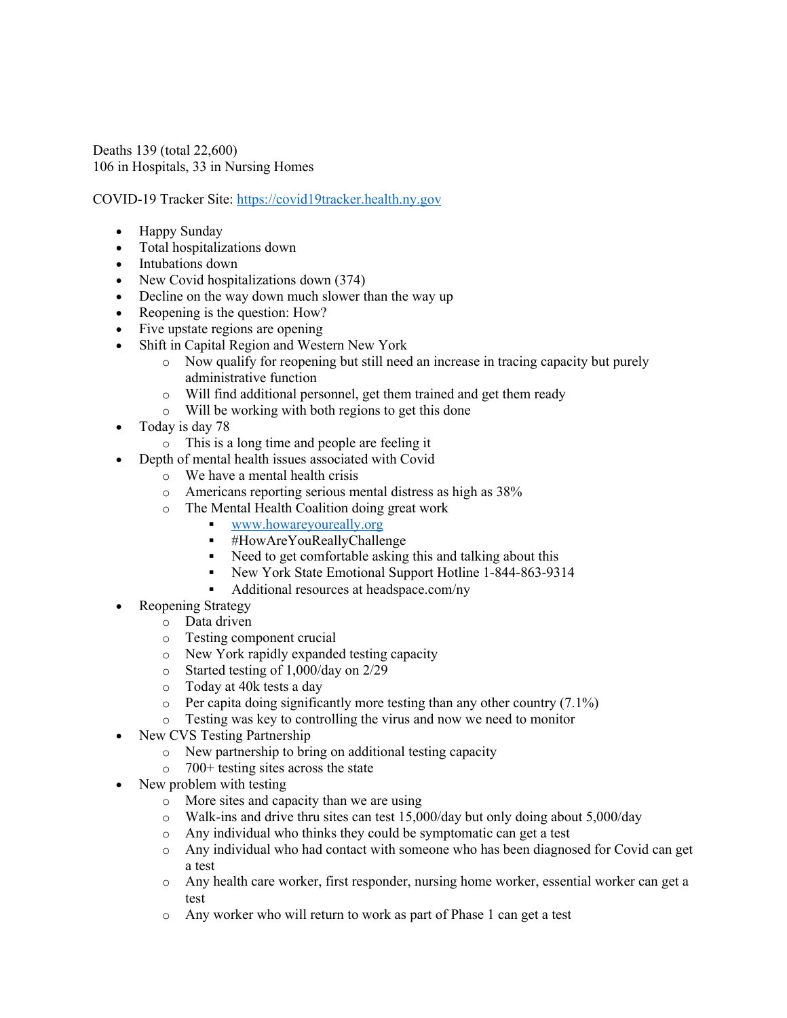Deaths 139 (total 22,600) 106 in Hospitals, 33 in Nursing Homes

COVID-19 Tracker Site: https://covid19tracker.health.ny.gov

- Happy Sunday
- Total hospitalizations down
- Intubations down
- New Covid hospitalizations down (374)
- Decline on the way down much slower than the way up
- Reopening is the question: How?
- Five upstate regions are opening
- Shift in Capital Region and Western New York
	- o Now qualify for reopening but still need an increase in tracing capacity but purely administrative function
	- o Will find additional personnel, get them trained and get them ready
	- o Will be working with both regions to get this done
- Today is day 78
	- o This is a long time and people are feeling it
- Depth of mental health issues associated with Covid
	- o We have a mental health crisis
	- o Americans reporting serious mental distress as high as 38%
	- o The Mental Health Coalition doing great work
		- § www.howareyoureally.org
			- § #HowAreYouReallyChallenge
			- Need to get comfortable asking this and talking about this
			- § New York State Emotional Support Hotline 1-844-863-9314
		- § Additional resources at headspace.com/ny
- Reopening Strategy
	- o Data driven
	- o Testing component crucial
	- o New York rapidly expanded testing capacity
	- o Started testing of 1,000/day on 2/29
	- o Today at 40k tests a day
	- $\circ$  Per capita doing significantly more testing than any other country (7.1%)
	- o Testing was key to controlling the virus and now we need to monitor
- New CVS Testing Partnership
	- o New partnership to bring on additional testing capacity
	- o 700+ testing sites across the state
- New problem with testing
	- o More sites and capacity than we are using
	- o Walk-ins and drive thru sites can test 15,000/day but only doing about 5,000/day
	- o Any individual who thinks they could be symptomatic can get a test
	- o Any individual who had contact with someone who has been diagnosed for Covid can get a test
	- o Any health care worker, first responder, nursing home worker, essential worker can get a test
	- o Any worker who will return to work as part of Phase 1 can get a test